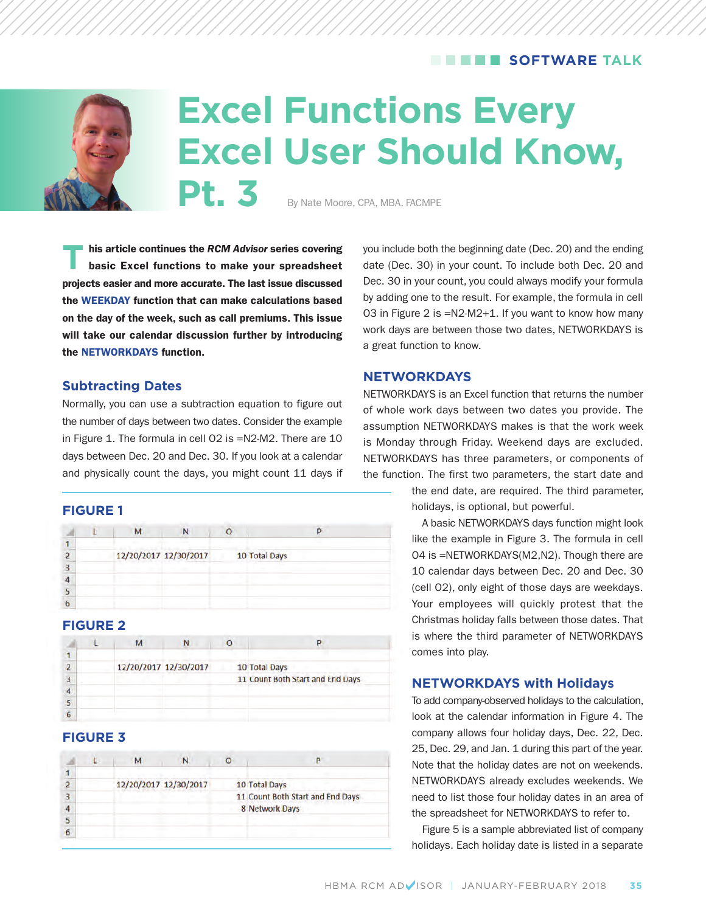# **SOFTWARE TALK**



# **Excel Functions Every Excel User Should Know,** Pt. 3 By Nate Moore, CPA, MBA, FACMPE

**T** his article continues the *RCM Advisor* series covering<br>basic Excel functions to make your spreadsheet **projects easier and more accurate. The last issue discussed the WEEKDAY function that can make calculations based on the day of the week, such as call premiums. This issue will take our calendar discussion further by introducing the NETWORKDAYS function.** 

#### **Subtracting Dates**

Normally, you can use a subtraction equation to figure out the number of days between two dates. Consider the example in Figure 1. The formula in cell O2 is =N2-M2. There are 10 days between Dec. 20 and Dec. 30. If you look at a calendar and physically count the days, you might count 11 days if

#### **FIGURE 1**

|  | 12/20/2017 12/30/2017 | 10 Total Days |
|--|-----------------------|---------------|
|  |                       |               |
|  |                       |               |
|  |                       |               |
|  |                       |               |

## **FIGURE 2**

|   |  | 12/20/2017 12/30/2017 | 10 Total Days                    |
|---|--|-----------------------|----------------------------------|
|   |  |                       | 11 Count Both Start and End Days |
|   |  |                       |                                  |
|   |  |                       |                                  |
| 6 |  |                       |                                  |

### **FIGURE 3**

|   |  | 12/20/2017 12/30/2017 | 10 Total Days                    |
|---|--|-----------------------|----------------------------------|
|   |  |                       | 11 Count Both Start and End Days |
|   |  |                       | 8 Network Days                   |
|   |  |                       |                                  |
| h |  |                       |                                  |

you include both the beginning date (Dec. 20) and the ending date (Dec. 30) in your count. To include both Dec. 20 and Dec. 30 in your count, you could always modify your formula by adding one to the result. For example, the formula in cell O3 in Figure 2 is =N2-M2+1. If you want to know how many work days are between those two dates, NETWORKDAYS is a great function to know.

#### **NETWORKDAYS**

NETWORKDAYS is an Excel function that returns the number of whole work days between two dates you provide. The assumption NETWORKDAYS makes is that the work week is Monday through Friday. Weekend days are excluded. NETWORKDAYS has three parameters, or components of the function. The first two parameters, the start date and

> the end date, are required. The third parameter, holidays, is optional, but powerful.

> A basic NETWORKDAYS days function might look like the example in Figure 3. The formula in cell O4 is =NETWORKDAYS(M2,N2). Though there are 10 calendar days between Dec. 20 and Dec. 30 (cell O2), only eight of those days are weekdays. Your employees will quickly protest that the Christmas holiday falls between those dates. That is where the third parameter of NETWORKDAYS comes into play.

#### **NETWORKDAYS with Holidays**

To add company-observed holidays to the calculation, look at the calendar information in Figure 4. The company allows four holiday days, Dec. 22, Dec. 25, Dec. 29, and Jan. 1 during this part of the year. Note that the holiday dates are not on weekends. NETWORKDAYS already excludes weekends. We need to list those four holiday dates in an area of the spreadsheet for NETWORKDAYS to refer to.

Figure 5 is a sample abbreviated list of company holidays. Each holiday date is listed in a separate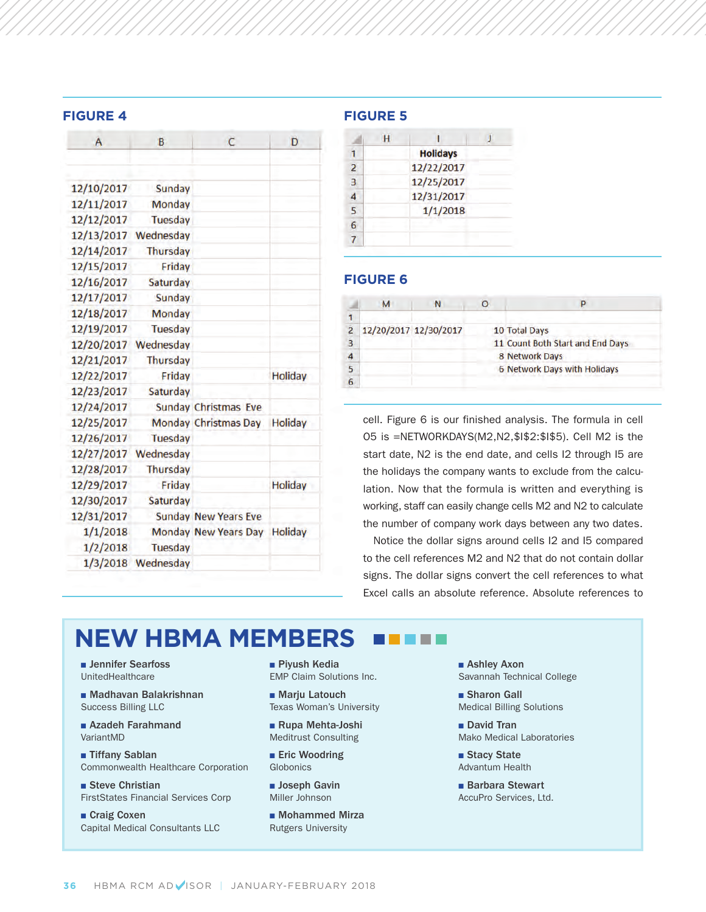#### **FIGURE 4 FIGURE 5**

| A          | B                    | C                           | D              |
|------------|----------------------|-----------------------------|----------------|
|            |                      |                             |                |
| 12/10/2017 | Sunday               |                             |                |
| 12/11/2017 | Monday               |                             |                |
| 12/12/2017 | Tuesday              |                             |                |
|            | 12/13/2017 Wednesday |                             |                |
| 12/14/2017 | <b>Thursday</b>      |                             |                |
| 12/15/2017 | Friday               |                             |                |
| 12/16/2017 | <b>Saturday</b>      |                             |                |
| 12/17/2017 | Sunday               |                             |                |
| 12/18/2017 | Monday               |                             |                |
| 12/19/2017 | <b>Tuesday</b>       |                             |                |
|            | 12/20/2017 Wednesday |                             |                |
| 12/21/2017 | <b>Thursday</b>      |                             |                |
| 12/22/2017 | Friday               |                             | <b>Holiday</b> |
| 12/23/2017 | Saturday             |                             |                |
| 12/24/2017 |                      | <b>Sunday Christmas Eve</b> |                |
| 12/25/2017 |                      | Monday Christmas Day        | <b>Holiday</b> |
| 12/26/2017 | Tuesday              |                             |                |
|            | 12/27/2017 Wednesday |                             |                |
| 12/28/2017 | <b>Thursday</b>      |                             |                |
| 12/29/2017 | Friday               |                             | <b>Holiday</b> |
| 12/30/2017 | Saturday             |                             |                |
| 12/31/2017 |                      | <b>Sunday New Years Eve</b> |                |
| 1/1/2018   |                      | <b>Monday New Years Day</b> | <b>Holiday</b> |
| 1/2/2018   | <b>Tuesday</b>       |                             |                |
|            | 1/3/2018 Wednesday   |                             |                |

|                          | <b>Holidays</b> |  |
|--------------------------|-----------------|--|
| $\overline{\phantom{a}}$ | 12/22/2017      |  |
| B                        | 12/25/2017      |  |
|                          | 12/31/2017      |  |
| 5                        | 1/1/2018        |  |
|                          |                 |  |
|                          |                 |  |

## **FIGURE 6**

|   | м | N                     |                                  |
|---|---|-----------------------|----------------------------------|
|   |   |                       |                                  |
|   |   | 12/20/2017 12/30/2017 | 10 Total Days                    |
|   |   |                       | 11 Count Both Start and End Days |
| Δ |   |                       | 8 Network Days                   |
|   |   |                       | 6 Network Days with Holidays     |
|   |   |                       |                                  |

cell. Figure 6 is our finished analysis. The formula in cell O5 is =NETWORKDAYS(M2,N2,\$I\$2:\$I\$5). Cell M2 is the start date, N2 is the end date, and cells I2 through I5 are the holidays the company wants to exclude from the calculation. Now that the formula is written and everything is working, staff can easily change cells M2 and N2 to calculate the number of company work days between any two dates.

Notice the dollar signs around cells I2 and I5 compared to the cell references M2 and N2 that do not contain dollar signs. The dollar signs convert the cell references to what Excel calls an absolute reference. Absolute references to

## **NEW HBMA MEMBERS** 8 8 8 8

**n** Jennifer Searfoss UnitedHealthcare

<sup>n</sup> Madhavan Balakrishnan Success Billing LLC

■ Azadeh Farahmand VariantMD

■ Tiffany Sablan Commonwealth Healthcare Corporation

■ Steve Christian FirstStates Financial Services Corp

■ Craig Coxen Capital Medical Consultants LLC ■ Piyush Kedia EMP Claim Solutions Inc.

■ Marju Latouch Texas Woman's University

■ Rupa Mehta-Joshi Meditrust Consulting

**n** Eric Woodring Globonics

**D** Joseph Gavin Miller Johnson

**n** Mohammed Mirza Rutgers University

■ Ashley Axon Savannah Technical College

■ Sharon Gall Medical Billing Solutions

David Tran Mako Medical Laboratories

■ Stacy State Advantum Health

**Barbara Stewart** AccuPro Services, Ltd.